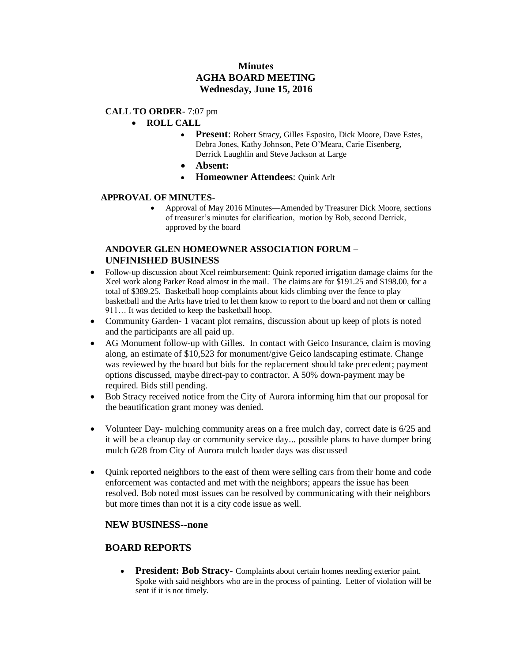# **Minutes AGHA BOARD MEETING Wednesday, June 15, 2016**

### **CALL TO ORDER**- 7:07 pm

- **ROLL CALL** 
	- **Present**: Robert Stracy, Gilles Esposito, Dick Moore, Dave Estes, Debra Jones, Kathy Johnson, Pete O'Meara, Carie Eisenberg, Derrick Laughlin and Steve Jackson at Large
	- **Absent:**
	- **Homeowner Attendees**: Quink Arlt

#### **APPROVAL OF MINUTES-**

 Approval of May 2016 Minutes—Amended by Treasurer Dick Moore, sections of treasurer's minutes for clarification, motion by Bob, second Derrick, approved by the board

### **ANDOVER GLEN HOMEOWNER ASSOCIATION FORUM – UNFINISHED BUSINESS**

- Follow-up discussion about Xcel reimbursement: Quink reported irrigation damage claims for the Xcel work along Parker Road almost in the mail. The claims are for \$191.25 and \$198.00, for a total of \$389.25. Basketball hoop complaints about kids climbing over the fence to play basketball and the Arlts have tried to let them know to report to the board and not them or calling 911… It was decided to keep the basketball hoop.
- Community Garden- 1 vacant plot remains, discussion about up keep of plots is noted and the participants are all paid up.
- AG Monument follow-up with Gilles. In contact with Geico Insurance, claim is moving along, an estimate of \$10,523 for monument/give Geico landscaping estimate. Change was reviewed by the board but bids for the replacement should take precedent; payment options discussed, maybe direct-pay to contractor. A 50% down-payment may be required. Bids still pending.
- Bob Stracy received notice from the City of Aurora informing him that our proposal for the beautification grant money was denied.
- Volunteer Day- mulching community areas on a free mulch day, correct date is 6/25 and it will be a cleanup day or community service day... possible plans to have dumper bring mulch 6/28 from City of Aurora mulch loader days was discussed
- Quink reported neighbors to the east of them were selling cars from their home and code enforcement was contacted and met with the neighbors; appears the issue has been resolved. Bob noted most issues can be resolved by communicating with their neighbors but more times than not it is a city code issue as well.

# **NEW BUSINESS--none**

# **BOARD REPORTS**

 **President: Bob Stracy**- Complaints about certain homes needing exterior paint. Spoke with said neighbors who are in the process of painting. Letter of violation will be sent if it is not timely.